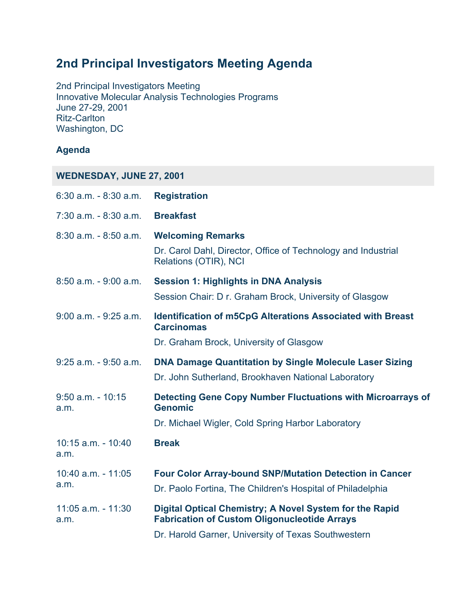## **2nd Principal Investigators Meeting Agenda**

2nd Principal Investigators Meeting Innovative Molecular Analysis Technologies Programs June 27-29, 2001 Ritz-Carlton Washington, DC

## **Agenda**

**WEDNESDAY, JUNE 27, 2001**

| $6:30$ a.m. $-8:30$ a.m.       | <b>Registration</b>                                                                                            |
|--------------------------------|----------------------------------------------------------------------------------------------------------------|
| $7:30$ a.m. $-8:30$ a.m.       | <b>Breakfast</b>                                                                                               |
| $8:30$ a.m. $-8:50$ a.m.       | <b>Welcoming Remarks</b>                                                                                       |
|                                | Dr. Carol Dahl, Director, Office of Technology and Industrial<br>Relations (OTIR), NCI                         |
| $8:50$ a.m. $-9:00$ a.m.       | <b>Session 1: Highlights in DNA Analysis</b>                                                                   |
|                                | Session Chair: D r. Graham Brock, University of Glasgow                                                        |
| $9:00$ a.m. $-9:25$ a.m.       | <b>Identification of m5CpG Alterations Associated with Breast</b><br><b>Carcinomas</b>                         |
|                                | Dr. Graham Brock, University of Glasgow                                                                        |
| $9:25$ a.m. $-9:50$ a.m.       | <b>DNA Damage Quantitation by Single Molecule Laser Sizing</b>                                                 |
|                                | Dr. John Sutherland, Brookhaven National Laboratory                                                            |
| $9:50$ a.m. - $10:15$<br>a.m.  | Detecting Gene Copy Number Fluctuations with Microarrays of<br><b>Genomic</b>                                  |
|                                | Dr. Michael Wigler, Cold Spring Harbor Laboratory                                                              |
| $10:15$ a.m. - $10:40$<br>a.m. | <b>Break</b>                                                                                                   |
| 10:40 a.m. - 11:05<br>a.m.     | <b>Four Color Array-bound SNP/Mutation Detection in Cancer</b>                                                 |
|                                | Dr. Paolo Fortina, The Children's Hospital of Philadelphia                                                     |
| 11:05 a.m. - 11:30<br>a.m.     | Digital Optical Chemistry; A Novel System for the Rapid<br><b>Fabrication of Custom Oligonucleotide Arrays</b> |
|                                | Dr. Harold Garner, University of Texas Southwestern                                                            |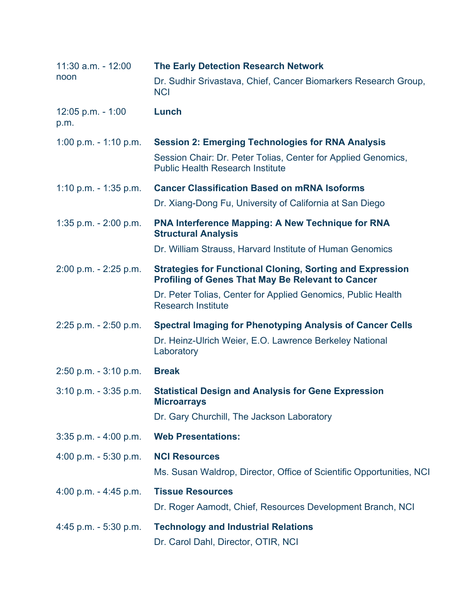| $11:30$ a.m. - $12:00$<br>noon | <b>The Early Detection Research Network</b>                                                                                  |
|--------------------------------|------------------------------------------------------------------------------------------------------------------------------|
|                                | Dr. Sudhir Srivastava, Chief, Cancer Biomarkers Research Group,<br><b>NCI</b>                                                |
| $12:05$ p.m. - 1:00<br>p.m.    | Lunch                                                                                                                        |
| 1:00 p.m. $-$ 1:10 p.m.        | <b>Session 2: Emerging Technologies for RNA Analysis</b>                                                                     |
|                                | Session Chair: Dr. Peter Tolias, Center for Applied Genomics,<br><b>Public Health Research Institute</b>                     |
| 1:10 p.m. $-$ 1:35 p.m.        | <b>Cancer Classification Based on mRNA Isoforms</b>                                                                          |
|                                | Dr. Xiang-Dong Fu, University of California at San Diego                                                                     |
| 1:35 p.m. $- 2:00$ p.m.        | <b>PNA Interference Mapping: A New Technique for RNA</b><br><b>Structural Analysis</b>                                       |
|                                | Dr. William Strauss, Harvard Institute of Human Genomics                                                                     |
| $2:00$ p.m. $-2:25$ p.m.       | <b>Strategies for Functional Cloning, Sorting and Expression</b><br><b>Profiling of Genes That May Be Relevant to Cancer</b> |
|                                | Dr. Peter Tolias, Center for Applied Genomics, Public Health<br><b>Research Institute</b>                                    |
| $2:25$ p.m. $- 2:50$ p.m.      | <b>Spectral Imaging for Phenotyping Analysis of Cancer Cells</b>                                                             |
|                                | Dr. Heinz-Ulrich Weier, E.O. Lawrence Berkeley National<br>Laboratory                                                        |
| $2:50$ p.m. $-3:10$ p.m.       | <b>Break</b>                                                                                                                 |
| $3:10$ p.m. $-3:35$ p.m.       | <b>Statistical Design and Analysis for Gene Expression</b><br><b>Microarrays</b>                                             |
|                                | Dr. Gary Churchill, The Jackson Laboratory                                                                                   |
| 3:35 p.m. - 4:00 p.m.          | <b>Web Presentations:</b>                                                                                                    |
| 4:00 p.m. $-5:30$ p.m.         | <b>NCI Resources</b>                                                                                                         |
|                                | Ms. Susan Waldrop, Director, Office of Scientific Opportunities, NCI                                                         |
| 4:00 p.m. $-$ 4:45 p.m.        | <b>Tissue Resources</b>                                                                                                      |
|                                | Dr. Roger Aamodt, Chief, Resources Development Branch, NCI                                                                   |
| $4:45$ p.m. $-5:30$ p.m.       | <b>Technology and Industrial Relations</b>                                                                                   |
|                                | Dr. Carol Dahl, Director, OTIR, NCI                                                                                          |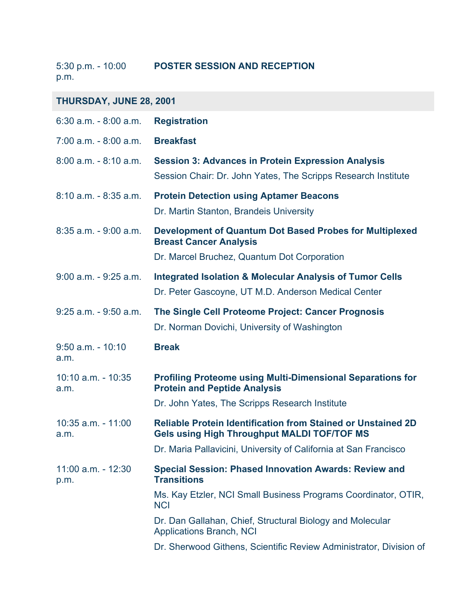5:30 p.m. - 10:00 p.m. **POSTER SESSION AND RECEPTION**

| THURSDAY, JUNE 28, 2001        |                                                                                                                                                |  |
|--------------------------------|------------------------------------------------------------------------------------------------------------------------------------------------|--|
| $6:30$ a.m. $-8:00$ a.m.       | <b>Registration</b>                                                                                                                            |  |
| $7:00$ a.m. $-8:00$ a.m.       | <b>Breakfast</b>                                                                                                                               |  |
| $8:00$ a.m. $-8:10$ a.m.       | <b>Session 3: Advances in Protein Expression Analysis</b><br>Session Chair: Dr. John Yates, The Scripps Research Institute                     |  |
| $8:10$ a.m. $-8:35$ a.m.       | <b>Protein Detection using Aptamer Beacons</b><br>Dr. Martin Stanton, Brandeis University                                                      |  |
| $8:35$ a.m. $-9:00$ a.m.       | <b>Development of Quantum Dot Based Probes for Multiplexed</b><br><b>Breast Cancer Analysis</b><br>Dr. Marcel Bruchez, Quantum Dot Corporation |  |
| $9:00$ a.m. $-9:25$ a.m.       | <b>Integrated Isolation &amp; Molecular Analysis of Tumor Cells</b><br>Dr. Peter Gascoyne, UT M.D. Anderson Medical Center                     |  |
| $9:25$ a.m. - $9:50$ a.m.      | The Single Cell Proteome Project: Cancer Prognosis<br>Dr. Norman Dovichi, University of Washington                                             |  |
| $9:50$ a.m. - 10:10<br>a.m.    | <b>Break</b>                                                                                                                                   |  |
| $10:10$ a.m. - $10:35$<br>a.m. | <b>Profiling Proteome using Multi-Dimensional Separations for</b><br><b>Protein and Peptide Analysis</b>                                       |  |
|                                | Dr. John Yates, The Scripps Research Institute                                                                                                 |  |
| $10:35$ a.m. $-11:00$<br>a.m.  | <b>Reliable Protein Identification from Stained or Unstained 2D</b><br><b>Gels using High Throughput MALDI TOF/TOF MS</b>                      |  |
|                                | Dr. Maria Pallavicini, University of California at San Francisco                                                                               |  |
| $11:00$ a.m. - $12:30$<br>p.m. | <b>Special Session: Phased Innovation Awards: Review and</b><br><b>Transitions</b>                                                             |  |
|                                | Ms. Kay Etzler, NCI Small Business Programs Coordinator, OTIR,<br><b>NCI</b>                                                                   |  |
|                                | Dr. Dan Gallahan, Chief, Structural Biology and Molecular<br><b>Applications Branch, NCI</b>                                                   |  |
|                                | Dr. Sherwood Githens, Scientific Review Administrator, Division of                                                                             |  |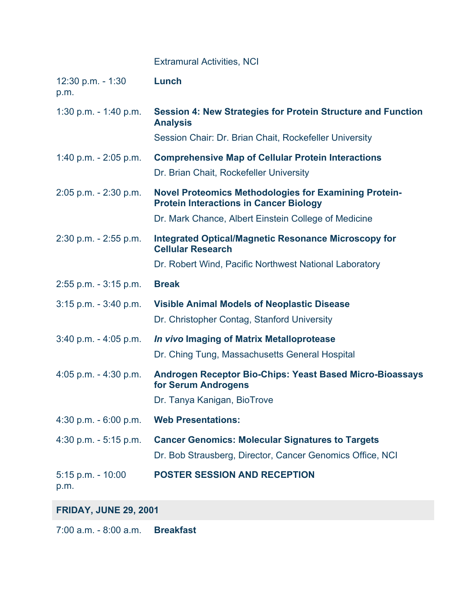## Extramural Activities, NCI

| $12:30$ p.m. - 1:30<br>p.m.   | Lunch                                                                                                         |
|-------------------------------|---------------------------------------------------------------------------------------------------------------|
| 1:30 p.m. $-$ 1:40 p.m.       | Session 4: New Strategies for Protein Structure and Function<br><b>Analysis</b>                               |
|                               | Session Chair: Dr. Brian Chait, Rockefeller University                                                        |
| 1:40 p.m. $- 2:05$ p.m.       | <b>Comprehensive Map of Cellular Protein Interactions</b>                                                     |
|                               | Dr. Brian Chait, Rockefeller University                                                                       |
| 2:05 p.m. - 2:30 p.m.         | <b>Novel Proteomics Methodologies for Examining Protein-</b><br><b>Protein Interactions in Cancer Biology</b> |
|                               | Dr. Mark Chance, Albert Einstein College of Medicine                                                          |
| 2:30 p.m. - 2:55 p.m.         | <b>Integrated Optical/Magnetic Resonance Microscopy for</b><br><b>Cellular Research</b>                       |
|                               | Dr. Robert Wind, Pacific Northwest National Laboratory                                                        |
| 2:55 p.m. - 3:15 p.m.         | <b>Break</b>                                                                                                  |
| $3:15$ p.m. $-3:40$ p.m.      | <b>Visible Animal Models of Neoplastic Disease</b>                                                            |
|                               | Dr. Christopher Contag, Stanford University                                                                   |
| $3:40$ p.m. $-4:05$ p.m.      | In vivo Imaging of Matrix Metalloprotease                                                                     |
|                               | Dr. Ching Tung, Massachusetts General Hospital                                                                |
| 4:05 p.m. $-$ 4:30 p.m.       | Androgen Receptor Bio-Chips: Yeast Based Micro-Bioassays<br>for Serum Androgens                               |
|                               | Dr. Tanya Kanigan, BioTrove                                                                                   |
| $4:30$ p.m. - 6:00 p.m.       | <b>Web Presentations:</b>                                                                                     |
| 4:30 p.m. $-5:15$ p.m.        | <b>Cancer Genomics: Molecular Signatures to Targets</b>                                                       |
|                               | Dr. Bob Strausberg, Director, Cancer Genomics Office, NCI                                                     |
| $5:15$ p.m. - $10:00$<br>p.m. | <b>POSTER SESSION AND RECEPTION</b>                                                                           |

## **FRIDAY, JUNE 29, 2001**

7:00 a.m. - 8:00 a.m. **Breakfast**